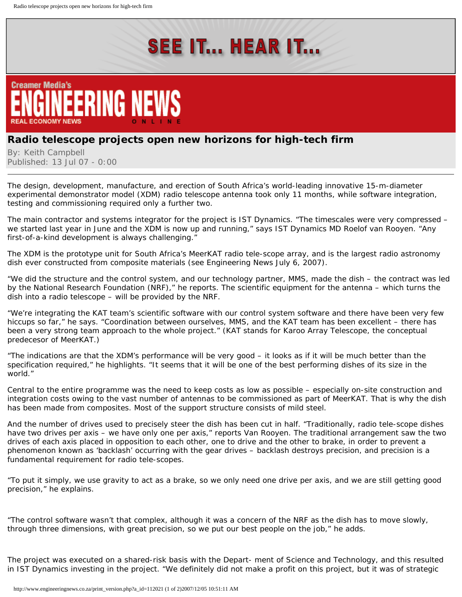## **SEE IT... HEAR IT...**



## **Radio telescope projects open new horizons for high-tech firm**

By: Keith Campbell Published: 13 Jul 07 - 0:00

The design, development, manufacture, and erection of South Africa's world-leading innovative 15-m-diameter experimental demonstrator model (XDM) radio telescope antenna took only 11 months, while software integration, testing and commissioning required only a further two.

The main contractor and systems integrator for the project is IST Dynamics. "The timescales were very compressed – we started last year in June and the XDM is now up and running," says IST Dynamics MD Roelof van Rooyen. "Any first-of-a-kind development is always challenging."

The XDM is the prototype unit for South Africa's MeerKAT radio tele-scope array, and is the largest radio astronomy dish ever constructed from composite materials (see Engineering News July 6, 2007).

"We did the structure and the control system, and our technology partner, MMS, made the dish – the contract was led by the National Research Foundation (NRF)," he reports. The scientific equipment for the antenna – which turns the dish into a radio telescope – will be provided by the NRF.

"We're integrating the KAT team's scientific software with our control system software and there have been very few hiccups so far," he says. "Coordination between ourselves, MMS, and the KAT team has been excellent – there has been a very strong team approach to the whole project." (KAT stands for Karoo Array Telescope, the conceptual predecesor of MeerKAT.)

"The indications are that the XDM's performance will be very good – it looks as if it will be much better than the specification required," he highlights. "It seems that it will be one of the best performing dishes of its size in the world."

Central to the entire programme was the need to keep costs as low as possible – especially on-site construction and integration costs owing to the vast number of antennas to be commissioned as part of MeerKAT. That is why the dish has been made from composites. Most of the support structure consists of mild steel.

And the number of drives used to precisely steer the dish has been cut in half. "Traditionally, radio tele-scope dishes have two drives per axis – we have only one per axis," reports Van Rooyen. The traditional arrangement saw the two drives of each axis placed in opposition to each other, one to drive and the other to brake, in order to prevent a phenomenon known as 'backlash' occurring with the gear drives – backlash destroys precision, and precision is a fundamental requirement for radio tele-scopes.

"To put it simply, we use gravity to act as a brake, so we only need one drive per axis, and we are still getting good precision," he explains.

"The control software wasn't that complex, although it was a concern of the NRF as the dish has to move slowly, through three dimensions, with great precision, so we put our best people on the job," he adds.

The project was executed on a shared-risk basis with the Depart- ment of Science and Technology, and this resulted in IST Dynamics investing in the project. "We definitely did not make a profit on this project, but it was of strategic